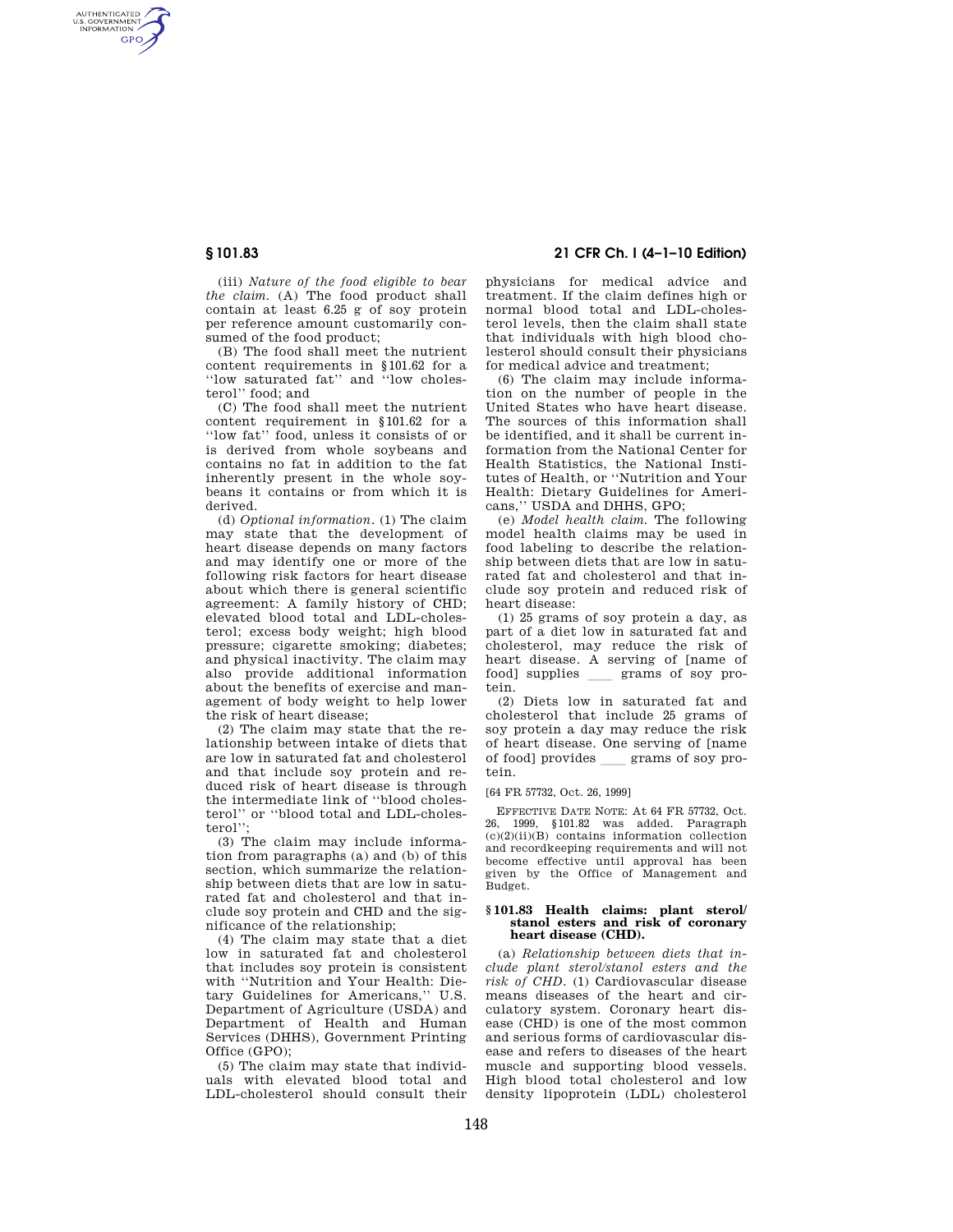AUTHENTICATED<br>U.S. GOVERNMENT<br>INFORMATION **GPO** 

> (iii) *Nature of the food eligible to bear the claim.* (A) The food product shall contain at least 6.25 g of soy protein per reference amount customarily consumed of the food product;

(B) The food shall meet the nutrient content requirements in §101.62 for a ''low saturated fat'' and ''low cholesterol'' food; and

(C) The food shall meet the nutrient content requirement in §101.62 for a ''low fat'' food, unless it consists of or is derived from whole soybeans and contains no fat in addition to the fat inherently present in the whole soybeans it contains or from which it is derived.

(d) *Optional information.* (1) The claim may state that the development of heart disease depends on many factors and may identify one or more of the following risk factors for heart disease about which there is general scientific agreement: A family history of CHD; elevated blood total and LDL-cholesterol; excess body weight; high blood pressure; cigarette smoking; diabetes; and physical inactivity. The claim may also provide additional information about the benefits of exercise and management of body weight to help lower the risk of heart disease;

(2) The claim may state that the relationship between intake of diets that are low in saturated fat and cholesterol and that include soy protein and reduced risk of heart disease is through the intermediate link of ''blood cholesterol'' or ''blood total and LDL-cholesterol''.

(3) The claim may include information from paragraphs (a) and (b) of this section, which summarize the relationship between diets that are low in saturated fat and cholesterol and that include soy protein and CHD and the significance of the relationship;

(4) The claim may state that a diet low in saturated fat and cholesterol that includes soy protein is consistent with ''Nutrition and Your Health: Dietary Guidelines for Americans,'' U.S. Department of Agriculture (USDA) and Department of Health and Human Services (DHHS), Government Printing Office (GPO);

(5) The claim may state that individuals with elevated blood total and LDL-cholesterol should consult their

# **§ 101.83 21 CFR Ch. I (4–1–10 Edition)**

physicians for medical advice and treatment. If the claim defines high or normal blood total and LDL-cholesterol levels, then the claim shall state that individuals with high blood cholesterol should consult their physicians for medical advice and treatment;

(6) The claim may include information on the number of people in the United States who have heart disease. The sources of this information shall be identified, and it shall be current information from the National Center for Health Statistics, the National Institutes of Health, or ''Nutrition and Your Health: Dietary Guidelines for Americans,'' USDA and DHHS, GPO;

(e) *Model health claim.* The following model health claims may be used in food labeling to describe the relationship between diets that are low in saturated fat and cholesterol and that include soy protein and reduced risk of heart disease:

(1) 25 grams of soy protein a day, as part of a diet low in saturated fat and cholesterol, may reduce the risk of heart disease. A serving of [name of food] supplies grams of soy protein.

(2) Diets low in saturated fat and cholesterol that include 25 grams of soy protein a day may reduce the risk of heart disease. One serving of [name of food] provides \_\_\_ grams of soy protein.

### [64 FR 57732, Oct. 26, 1999]

EFFECTIVE DATE NOTE: At 64 FR 57732, Oct. 26, 1999, §101.82 was added. Paragraph (c)(2)(ii)(B) contains information collection and recordkeeping requirements and will not become effective until approval has been given by the Office of Management and Budget.

#### **§ 101.83 Health claims: plant sterol/ stanol esters and risk of coronary heart disease (CHD).**

(a) *Relationship between diets that include plant sterol/stanol esters and the risk of CHD.* (1) Cardiovascular disease means diseases of the heart and circulatory system. Coronary heart disease (CHD) is one of the most common and serious forms of cardiovascular disease and refers to diseases of the heart muscle and supporting blood vessels. High blood total cholesterol and low density lipoprotein (LDL) cholesterol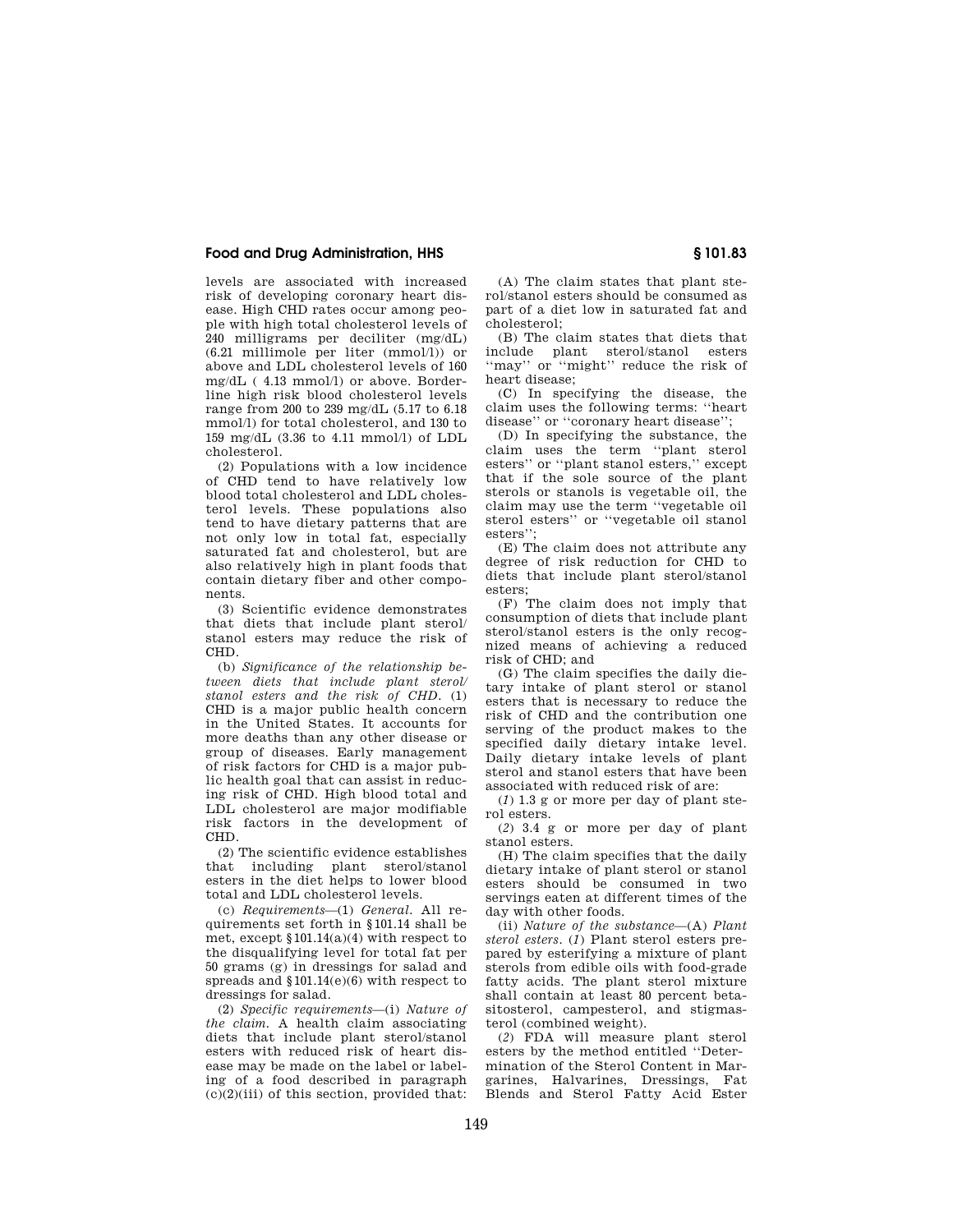## **Food and Drug Administration, HHS § 101.83**

levels are associated with increased risk of developing coronary heart disease. High CHD rates occur among people with high total cholesterol levels of 240 milligrams per deciliter (mg/dL) (6.21 millimole per liter (mmol/l)) or above and LDL cholesterol levels of 160 mg/dL ( 4.13 mmol/l) or above. Borderline high risk blood cholesterol levels range from 200 to 239 mg/dL (5.17 to 6.18 mmol/l) for total cholesterol, and 130 to 159 mg/dL (3.36 to 4.11 mmol/l) of LDL cholesterol.

(2) Populations with a low incidence of CHD tend to have relatively low blood total cholesterol and LDL cholesterol levels. These populations also tend to have dietary patterns that are not only low in total fat, especially saturated fat and cholesterol, but are also relatively high in plant foods that contain dietary fiber and other components.

(3) Scientific evidence demonstrates that diets that include plant sterol/ stanol esters may reduce the risk of CHD.

(b) *Significance of the relationship between diets that include plant sterol/ stanol esters and the risk of CHD.* (1) CHD is a major public health concern in the United States. It accounts for more deaths than any other disease or group of diseases. Early management of risk factors for CHD is a major public health goal that can assist in reducing risk of CHD. High blood total and LDL cholesterol are major modifiable risk factors in the development of CHD.

(2) The scientific evidence establishes that including plant sterol/stanol esters in the diet helps to lower blood total and LDL cholesterol levels.

(c) *Requirements*—(1) *General.* All requirements set forth in §101.14 shall be met, except §101.14(a)(4) with respect to the disqualifying level for total fat per 50 grams (g) in dressings for salad and spreads and  $$101.14(e)(6)$  with respect to dressings for salad.

(2) *Specific requirements*—(i) *Nature of the claim.* A health claim associating diets that include plant sterol/stanol esters with reduced risk of heart disease may be made on the label or labeling of a food described in paragraph  $(c)(2)(iii)$  of this section, provided that:

(A) The claim states that plant sterol/stanol esters should be consumed as part of a diet low in saturated fat and cholesterol;

(B) The claim states that diets that include plant sterol/stanol esters "may" or "might" reduce the risk of heart disease;

(C) In specifying the disease, the claim uses the following terms: ''heart disease'' or ''coronary heart disease'';

(D) In specifying the substance, the claim uses the term ''plant sterol esters'' or ''plant stanol esters,'' except that if the sole source of the plant sterols or stanols is vegetable oil, the claim may use the term ''vegetable oil sterol esters'' or ''vegetable oil stanol esters'';

(E) The claim does not attribute any degree of risk reduction for CHD to diets that include plant sterol/stanol esters;

(F) The claim does not imply that consumption of diets that include plant sterol/stanol esters is the only recognized means of achieving a reduced risk of CHD; and

(G) The claim specifies the daily dietary intake of plant sterol or stanol esters that is necessary to reduce the risk of CHD and the contribution one serving of the product makes to the specified daily dietary intake level. Daily dietary intake levels of plant sterol and stanol esters that have been associated with reduced risk of are:

(*1*) 1.3 g or more per day of plant sterol esters.

(*2*) 3.4 g or more per day of plant stanol esters.

(H) The claim specifies that the daily dietary intake of plant sterol or stanol esters should be consumed in two servings eaten at different times of the day with other foods.

(ii) *Nature of the substance*—(A) *Plant sterol esters.* (*1*) Plant sterol esters prepared by esterifying a mixture of plant sterols from edible oils with food-grade fatty acids. The plant sterol mixture shall contain at least 80 percent betasitosterol, campesterol, and stigmasterol (combined weight).

(*2*) FDA will measure plant sterol esters by the method entitled ''Determination of the Sterol Content in Margarines, Halvarines, Dressings, Fat Blends and Sterol Fatty Acid Ester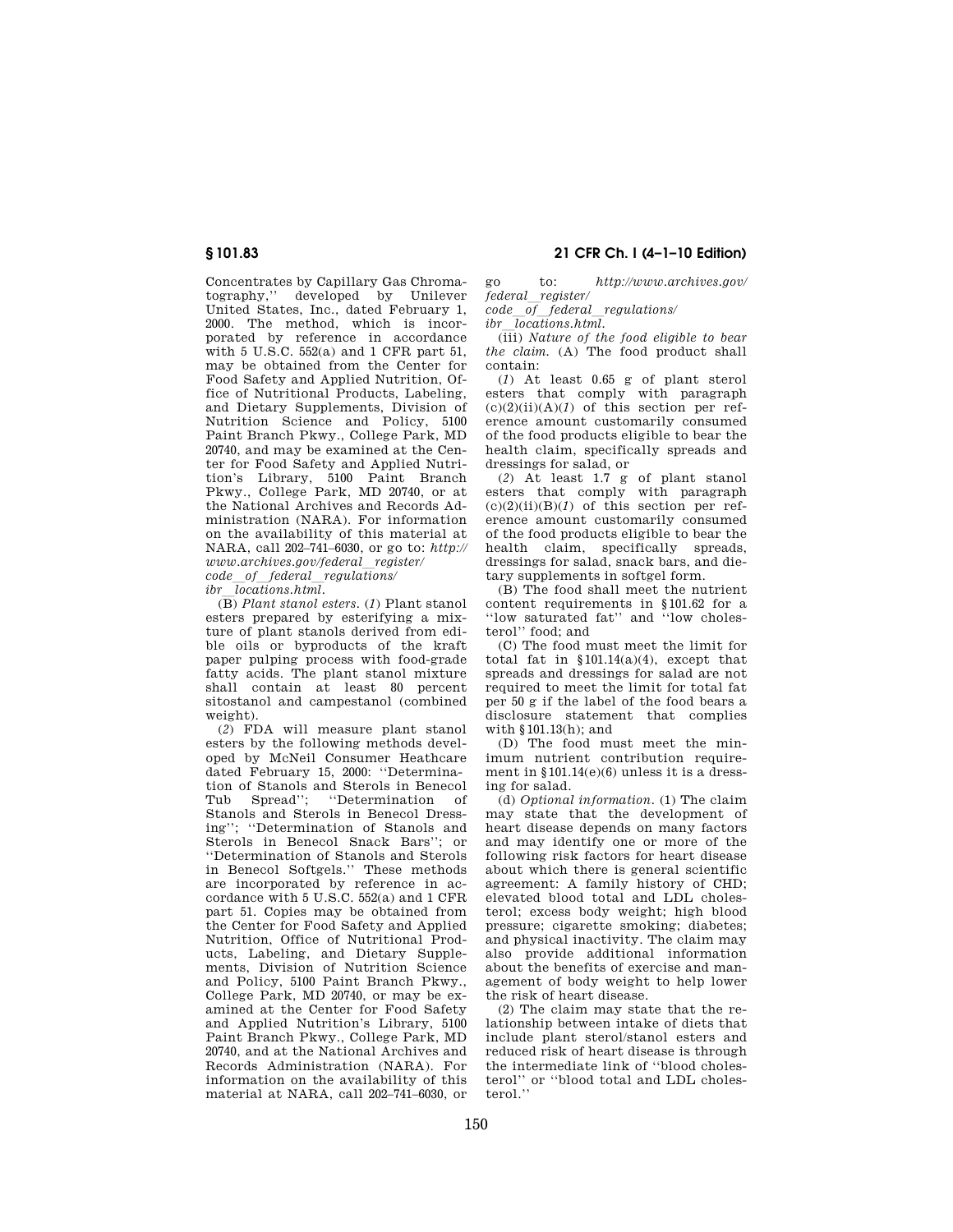Concentrates by Capillary Gas Chromatography,'' developed by Unilever United States, Inc., dated February 1, 2000. The method, which is incorporated by reference in accordance with 5 U.S.C. 552(a) and 1 CFR part 51, may be obtained from the Center for Food Safety and Applied Nutrition, Office of Nutritional Products, Labeling, and Dietary Supplements, Division of Nutrition Science and Policy, 5100 Paint Branch Pkwy., College Park, MD 20740, and may be examined at the Center for Food Safety and Applied Nutrition's Library, 5100 Paint Branch Pkwy., College Park, MD 20740, or at the National Archives and Records Administration (NARA). For information on the availability of this material at NARA, call 202–741–6030, or go to: *http:// www.archives.gov/federal*l*register/ code*l*of*l*federal*l*regulations/* 

*ibr*l*locations.html.* 

(B) *Plant stanol esters.* (*1*) Plant stanol esters prepared by esterifying a mixture of plant stanols derived from edible oils or byproducts of the kraft paper pulping process with food-grade fatty acids. The plant stanol mixture shall contain at least 80 percent sitostanol and campestanol (combined weight).

(*2*) FDA will measure plant stanol esters by the following methods developed by McNeil Consumer Heathcare dated February 15, 2000: ''Determination of Stanols and Sterols in Benecol Tub Spread''; ''Determination of Stanols and Sterols in Benecol Dressing''; ''Determination of Stanols and Sterols in Benecol Snack Bars''; or ''Determination of Stanols and Sterols in Benecol Softgels.'' These methods are incorporated by reference in accordance with 5 U.S.C. 552(a) and 1 CFR part 51. Copies may be obtained from the Center for Food Safety and Applied Nutrition, Office of Nutritional Products, Labeling, and Dietary Supplements, Division of Nutrition Science and Policy, 5100 Paint Branch Pkwy., College Park, MD 20740, or may be examined at the Center for Food Safety and Applied Nutrition's Library, 5100 Paint Branch Pkwy., College Park, MD 20740, and at the National Archives and Records Administration (NARA). For information on the availability of this material at NARA, call 202–741–6030, or

**§ 101.83 21 CFR Ch. I (4–1–10 Edition)** 

go to: *http://www.archives.gov/ federal*l*register/* 

*code*l*of*l*federal*l*regulations/* 

*ibr*  $\overline{locations.html}$ .

(iii) *Nature of the food eligible to bear the claim.* (A) The food product shall contain:

(*1*) At least 0.65 g of plant sterol esters that comply with paragraph  $(c)(2)(ii)(A)(1)$  of this section per reference amount customarily consumed of the food products eligible to bear the health claim, specifically spreads and dressings for salad, or

(*2*) At least 1.7 g of plant stanol esters that comply with paragraph  $(c)(2)(ii)(B)(I)$  of this section per reference amount customarily consumed of the food products eligible to bear the health claim, specifically spreads, dressings for salad, snack bars, and dietary supplements in softgel form.

(B) The food shall meet the nutrient content requirements in §101.62 for a ''low saturated fat'' and ''low cholesterol'' food; and

(C) The food must meet the limit for total fat in  $$101.14(a)(4)$ , except that spreads and dressings for salad are not required to meet the limit for total fat per 50 g if the label of the food bears a disclosure statement that complies with §101.13(h); and

(D) The food must meet the minimum nutrient contribution requirement in §101.14(e)(6) unless it is a dressing for salad.

(d) *Optional information.* (1) The claim may state that the development of heart disease depends on many factors and may identify one or more of the following risk factors for heart disease about which there is general scientific agreement: A family history of CHD; elevated blood total and LDL cholesterol; excess body weight; high blood pressure; cigarette smoking; diabetes; and physical inactivity. The claim may also provide additional information about the benefits of exercise and management of body weight to help lower the risk of heart disease.

(2) The claim may state that the relationship between intake of diets that include plant sterol/stanol esters and reduced risk of heart disease is through the intermediate link of ''blood cholesterol'' or ''blood total and LDL cholesterol.''